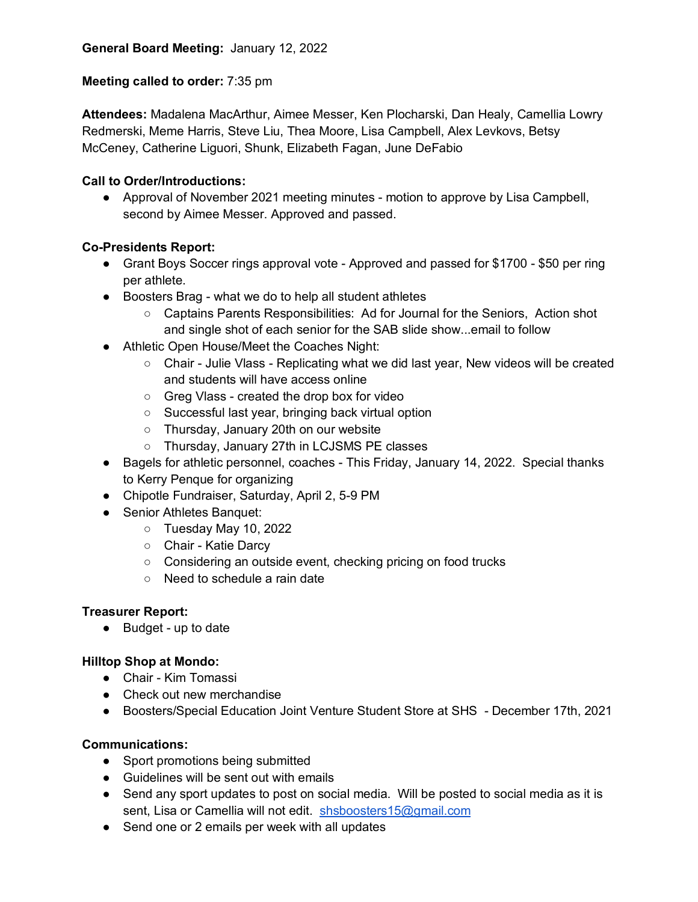## **Meeting called to order:** 7:35 pm

**Attendees:** Madalena MacArthur, Aimee Messer, Ken Plocharski, Dan Healy, Camellia Lowry Redmerski, Meme Harris, Steve Liu, Thea Moore, Lisa Campbell, Alex Levkovs, Betsy McCeney, Catherine Liguori, Shunk, Elizabeth Fagan, June DeFabio

## **Call to Order/Introductions:**

● Approval of November 2021 meeting minutes - motion to approve by Lisa Campbell, second by Aimee Messer. Approved and passed.

## **Co-Presidents Report:**

- Grant Boys Soccer rings approval vote Approved and passed for \$1700 \$50 per ring per athlete.
- Boosters Brag what we do to help all student athletes
	- Captains Parents Responsibilities: Ad for Journal for the Seniors, Action shot and single shot of each senior for the SAB slide show...email to follow
- Athletic Open House/Meet the Coaches Night:
	- Chair Julie Vlass Replicating what we did last year, New videos will be created and students will have access online
	- Greg Vlass created the drop box for video
	- Successful last year, bringing back virtual option
	- Thursday, January 20th on our website
	- Thursday, January 27th in LCJSMS PE classes
- Bagels for athletic personnel, coaches This Friday, January 14, 2022. Special thanks to Kerry Penque for organizing
- Chipotle Fundraiser, Saturday, April 2, 5-9 PM
- Senior Athletes Banquet:
	- Tuesday May 10, 2022
	- Chair Katie Darcy
	- Considering an outside event, checking pricing on food trucks
	- Need to schedule a rain date

#### **Treasurer Report:**

● Budget - up to date

#### **Hilltop Shop at Mondo:**

- Chair Kim Tomassi
- Check out new merchandise
- Boosters/Special Education Joint Venture Student Store at SHS December 17th, 2021

#### **Communications:**

- Sport promotions being submitted
- Guidelines will be sent out with emails
- Send any sport updates to post on social media. Will be posted to social media as it is sent, Lisa or Camellia will not edit. shsboosters15@gmail.com
- Send one or 2 emails per week with all updates